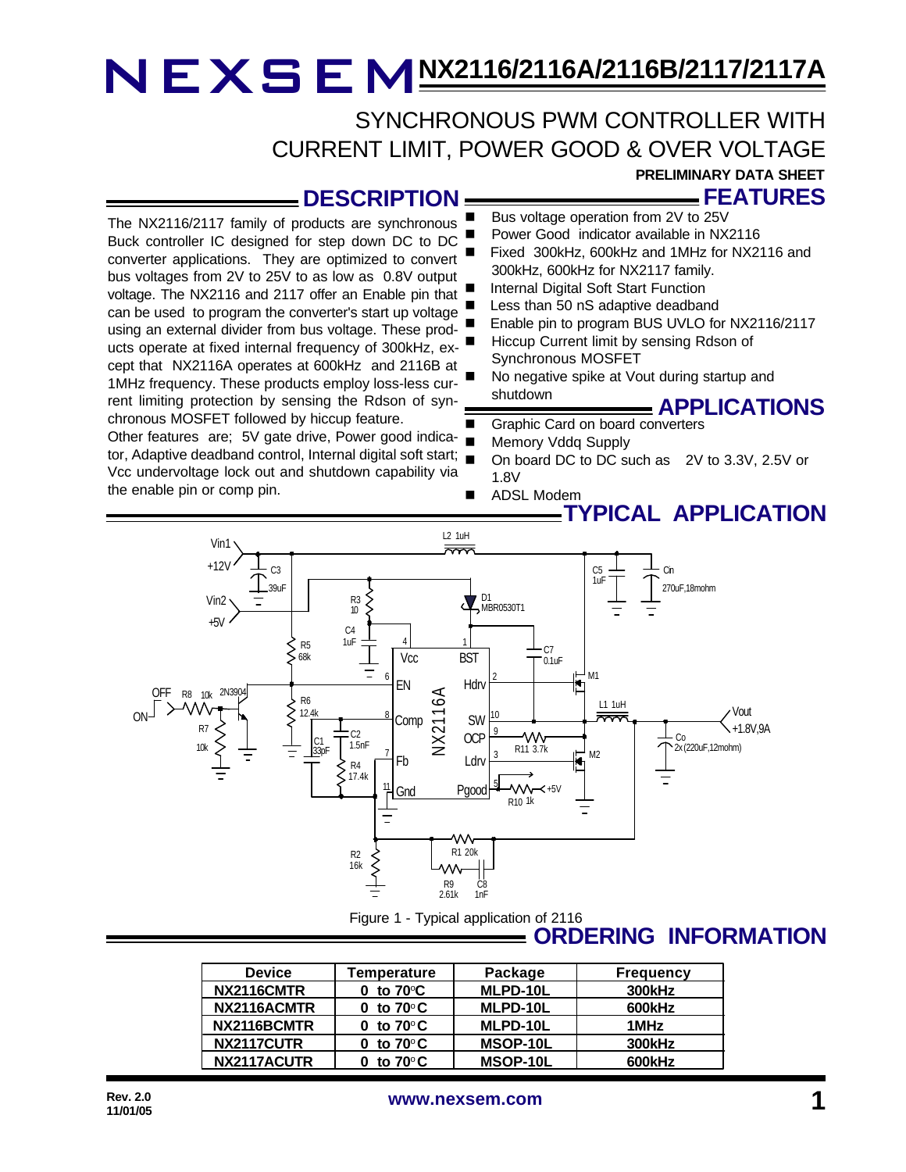## SYNCHRONOUS PWM CONTROLLER WITH CURRENT LIMIT, POWER GOOD & OVER VOLTAGE

## **DESCRIPTION**

The NX2116/2117 family of products are synchronous Buck controller IC designed for step down DC to DC converter applications. They are optimized to convert bus voltages from 2V to 25V to as low as 0.8V output voltage. The NX2116 and 2117 offer an Enable pin that can be used to program the converter's start up voltage using an external divider from bus voltage. These products operate at fixed internal frequency of 300kHz, except that NX2116A operates at 600kHz and 2116B at 1MHz frequency. These products employ loss-less current limiting protection by sensing the Rdson of synchronous MOSFET followed by hiccup feature.

Other features are; 5V gate drive, Power good indicator, Adaptive deadband control, Internal digital soft start; Vcc undervoltage lock out and shutdown capability via the enable pin or comp pin.

- **FEATURES PRELIMINARY DATA SHEET**
- Bus voltage operation from 2V to 25V
- Power Good indicator available in NX2116
- Fixed 300kHz, 600kHz and 1MHz for NX2116 and 300kHz, 600kHz for NX2117 family.
- Internal Digital Soft Start Function
- Less than 50 nS adaptive deadband
- Enable pin to program BUS UVLO for NX2116/2117
- Hiccup Current limit by sensing Rdson of Synchronous MOSFET
- No negative spike at Vout during startup and shutdown

### **APPLICATIONS**

- Graphic Card on board converters
- Memory Vddq Supply
- On board DC to DC such as 2V to 3.3V, 2.5V or 1.8V
- ADSL Modem

## **TYPICAL APPLICATION**



Figure 1 - Typical application of 2116

### **ORDERING INFORMATION**

| <b>Device</b> | Temperature                     | Package  | <b>Frequency</b> |
|---------------|---------------------------------|----------|------------------|
| NX2116CMTR    | 0 to $70^{\circ}$ C             | MLPD-10L | <b>300kHz</b>    |
| NX2116ACMTR   | 0 to $70^{\circ}$ C             | MLPD-10L | 600kHz           |
| NX2116BCMTR   | 0 to $70^{\circ}$ C             | MLPD-10L | 1MHz             |
| NX2117CUTR    | 0 to 70 $^{\circ}$ C $^{\circ}$ | MSOP-10L | <b>300kHz</b>    |
| NX2117ACUTR   | to 70 $^{\circ}$ C              | MSOP-10L | 600kHz           |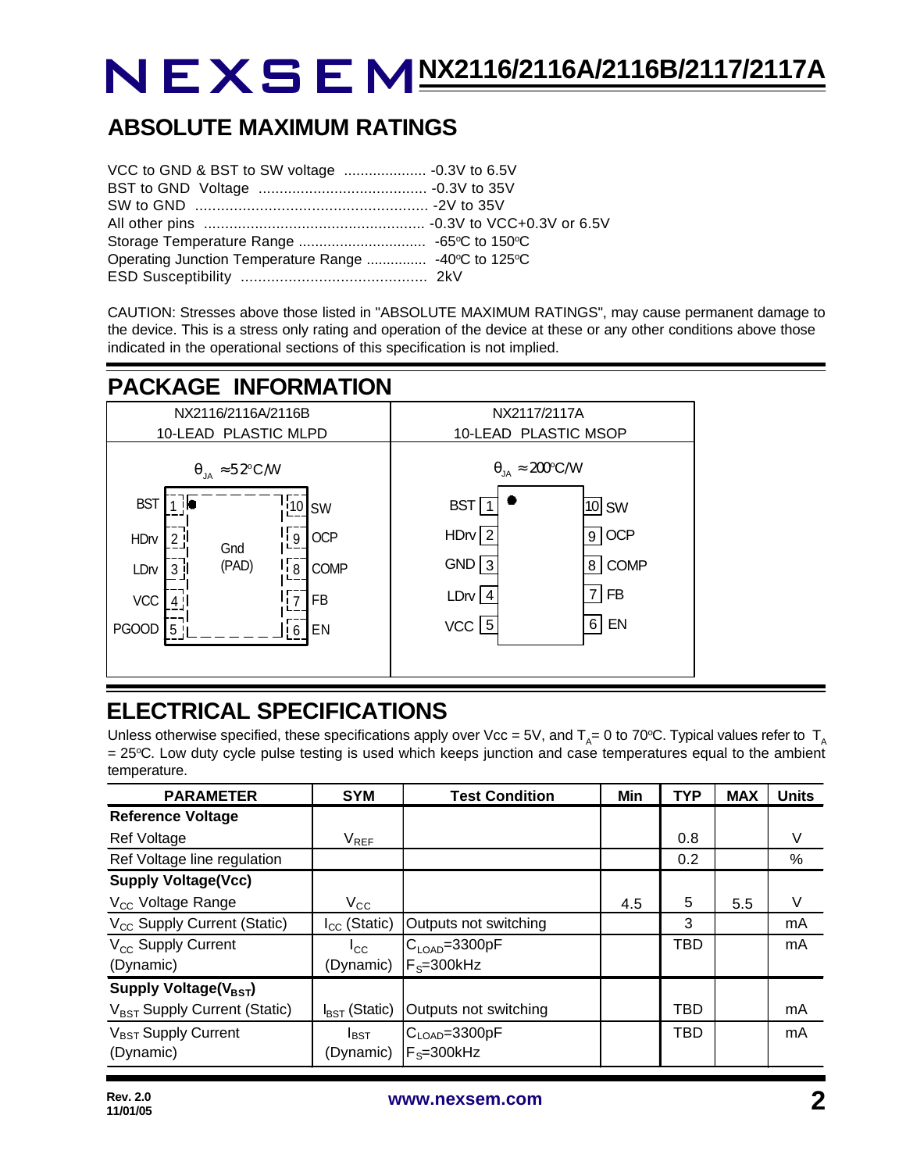## **ABSOLUTE MAXIMUM RATINGS**

| Operating Junction Temperature Range  -40°C to 125°C |  |
|------------------------------------------------------|--|
|                                                      |  |

CAUTION: Stresses above those listed in "ABSOLUTE MAXIMUM RATINGS", may cause permanent damage to the device. This is a stress only rating and operation of the device at these or any other conditions above those indicated in the operational sections of this specification is not implied.

## **PACKAGE INFORMATION**



## **ELECTRICAL SPECIFICATIONS**

Unless otherwise specified, these specifications apply over Vcc = 5V, and T<sub>A</sub>= 0 to 70°C. Typical values refer to T<sub>A</sub>  $= 25^{\circ}$ C. Low duty cycle pulse testing is used which keeps junction and case temperatures equal to the ambient temperature.

| <b>PARAMETER</b>                         | <b>SYM</b>                | <b>Test Condition</b>       | Min | <b>TYP</b> | <b>MAX</b> | <b>Units</b> |
|------------------------------------------|---------------------------|-----------------------------|-----|------------|------------|--------------|
| <b>Reference Voltage</b>                 |                           |                             |     |            |            |              |
| Ref Voltage                              | $V_{REF}$                 |                             |     | 0.8        |            | V            |
| Ref Voltage line regulation              |                           |                             |     | 0.2        |            | %            |
| <b>Supply Voltage(Vcc)</b>               |                           |                             |     |            |            |              |
| V <sub>CC</sub> Voltage Range            | $\rm V_{CC}$              |                             | 4.5 | 5          | 5.5        | V            |
| V <sub>CC</sub> Supply Current (Static)  | $I_{CC}$ (Static)         | Outputs not switching       |     | 3          |            | mA           |
| V <sub>cc</sub> Supply Current           | $I_{\rm CC}$              | IC <sub>LOAD</sub> =3300pF  |     | <b>TBD</b> |            | mA           |
| (Dynamic)                                | (Dynamic)                 | $F_s = 300$ kHz             |     |            |            |              |
| Supply Voltage( $V_{\text{BST}}$ )       |                           |                             |     |            |            |              |
| V <sub>BST</sub> Supply Current (Static) | $I_{\text{RST}}$ (Static) | Outputs not switching       |     | TBD        |            | mA           |
| V <sub>BST</sub> Supply Current          | $I_{\text{BST}}$          | $ C_{\text{LOAD}} = 3300pF$ |     | <b>TBD</b> |            | mA           |
| (Dynamic)                                | (Dynamic)                 | $F_s = 300$ kHz             |     |            |            |              |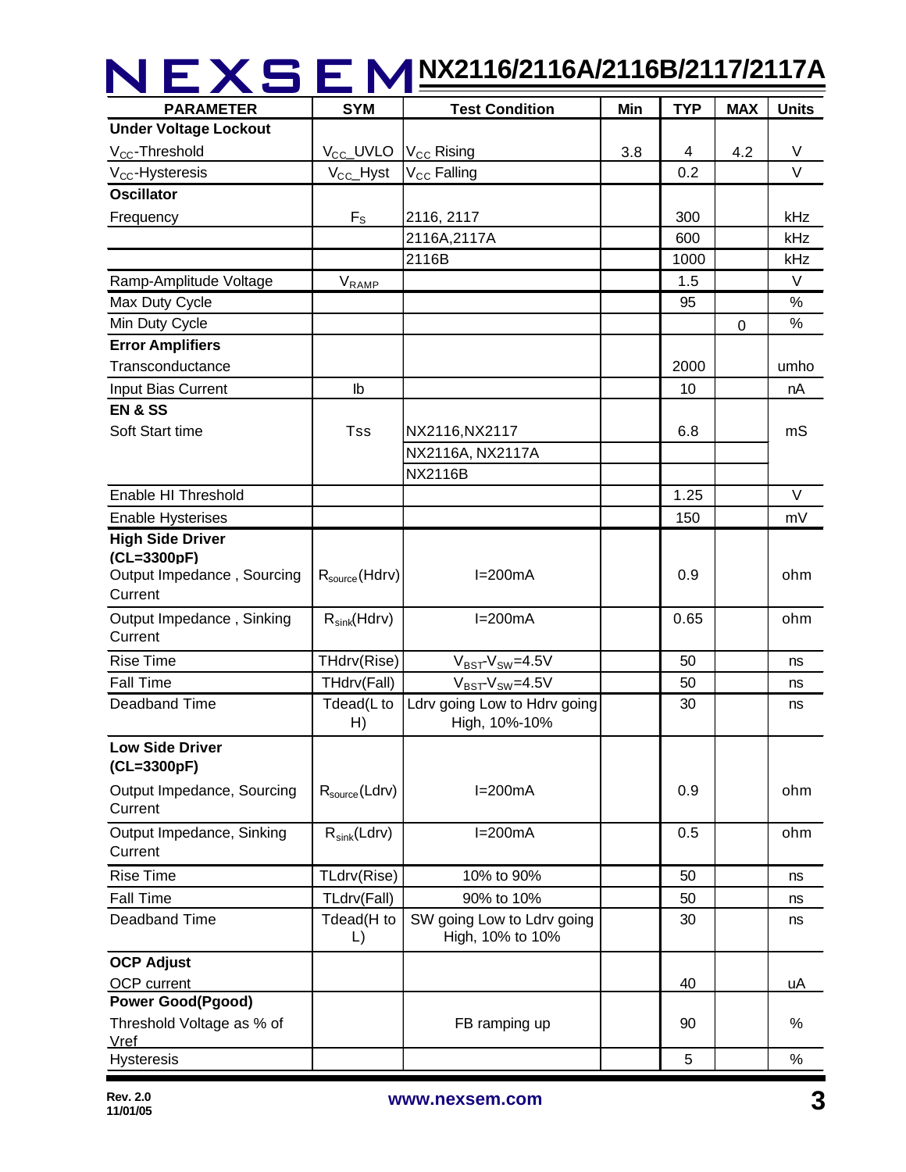| <b>PARAMETER</b>                                      | <b>SYM</b>                                     | IEXSEM M2116/2116A/2116B/2117/2117A<br><b>Test Condition</b> | Min | <b>TYP</b> | <b>MAX</b> | <b>Units</b> |
|-------------------------------------------------------|------------------------------------------------|--------------------------------------------------------------|-----|------------|------------|--------------|
| <b>Under Voltage Lockout</b>                          |                                                |                                                              |     |            |            |              |
| V <sub>CC</sub> -Threshold                            | $V_{\text{CC}}$ _UVLO   $V_{\text{CC}}$ Rising |                                                              | 3.8 | 4          | 4.2        | V            |
| V <sub>CC</sub> -Hysteresis                           | $V_{CC}$ Hyst                                  | V <sub>CC</sub> Falling                                      |     | 0.2        |            | V            |
| <b>Oscillator</b>                                     |                                                |                                                              |     |            |            |              |
| Frequency                                             | $F_S$                                          | 2116, 2117                                                   |     | 300        |            | kHz          |
|                                                       |                                                | 2116A,2117A                                                  |     | 600        |            | kHz          |
|                                                       |                                                | 2116B                                                        |     | 1000       |            | kHz          |
| Ramp-Amplitude Voltage                                | $V_{\text{RAMP}}$                              |                                                              |     | 1.5        |            | $\vee$       |
| Max Duty Cycle                                        |                                                |                                                              |     | 95         |            | $\%$         |
| Min Duty Cycle                                        |                                                |                                                              |     |            | 0          | %            |
| <b>Error Amplifiers</b>                               |                                                |                                                              |     |            |            |              |
| Transconductance                                      |                                                |                                                              |     | 2000       |            | umho         |
| Input Bias Current                                    | lb                                             |                                                              |     | 10         |            | nA           |
| <b>EN &amp; SS</b>                                    |                                                |                                                              |     |            |            |              |
| Soft Start time                                       | <b>Tss</b>                                     | NX2116, NX2117                                               |     | 6.8        |            | mS           |
|                                                       |                                                | NX2116A, NX2117A                                             |     |            |            |              |
|                                                       |                                                | <b>NX2116B</b>                                               |     |            |            |              |
| Enable HI Threshold                                   |                                                |                                                              |     | 1.25       |            | $\vee$       |
| <b>Enable Hysterises</b>                              |                                                |                                                              |     | 150        |            | mV           |
| <b>High Side Driver</b>                               |                                                |                                                              |     |            |            |              |
| (CL=3300pF)                                           |                                                |                                                              |     |            |            |              |
| Output Impedance, Sourcing                            | $R_{source}$ (Hdrv)                            | $I=200mA$                                                    |     | 0.9        |            | ohm          |
| Current                                               |                                                |                                                              |     |            |            |              |
| Output Impedance, Sinking<br>Current                  | $R_{sink}(Hdrv)$                               | $I=200mA$                                                    |     | 0.65       |            | ohm          |
| <b>Rise Time</b>                                      | THdrv(Rise)                                    | $V_{BST}$ - $V_{SW}$ =4.5V                                   |     | 50         |            | ns           |
| <b>Fall Time</b>                                      | THdrv(Fall)                                    | $V_{BST}$ - $V_{SW}$ =4.5V                                   |     | 50         |            | ns           |
| Deadband Time                                         | H)                                             | Tdead(L to   Ldrv going Low to Hdrv going<br>High, 10%-10%   |     | 30         |            | ns           |
| <b>Low Side Driver</b><br>(CL=3300pF)                 |                                                |                                                              |     |            |            |              |
| Output Impedance, Sourcing<br>Current                 | $R_{source}$ (Ldrv)                            | $I=200mA$                                                    |     | 0.9        |            | ohm          |
| Output Impedance, Sinking<br>Current                  | $R_{sink}(Ldrv)$                               | $I=200mA$                                                    |     | 0.5        |            | ohm          |
| <b>Rise Time</b>                                      | TLdrv(Rise)                                    | 10% to 90%                                                   |     | 50         |            | ns           |
| <b>Fall Time</b>                                      | TLdrv(Fall)                                    | 90% to 10%                                                   |     | 50         |            | ns           |
| Deadband Time                                         | Tdead(H to<br>$\lfloor$                        | SW going Low to Ldrv going<br>High, 10% to 10%               |     | 30         |            | ns           |
| <b>OCP Adjust</b>                                     |                                                |                                                              |     |            |            |              |
| OCP current                                           |                                                |                                                              |     | 40         |            | uA           |
| <b>Power Good(Pgood)</b><br>Threshold Voltage as % of |                                                | FB ramping up                                                |     | 90         |            | $\%$         |
| <b>Vref</b><br><b>Hysteresis</b>                      |                                                |                                                              |     | 5          |            | $\%$         |
|                                                       |                                                |                                                              |     |            |            |              |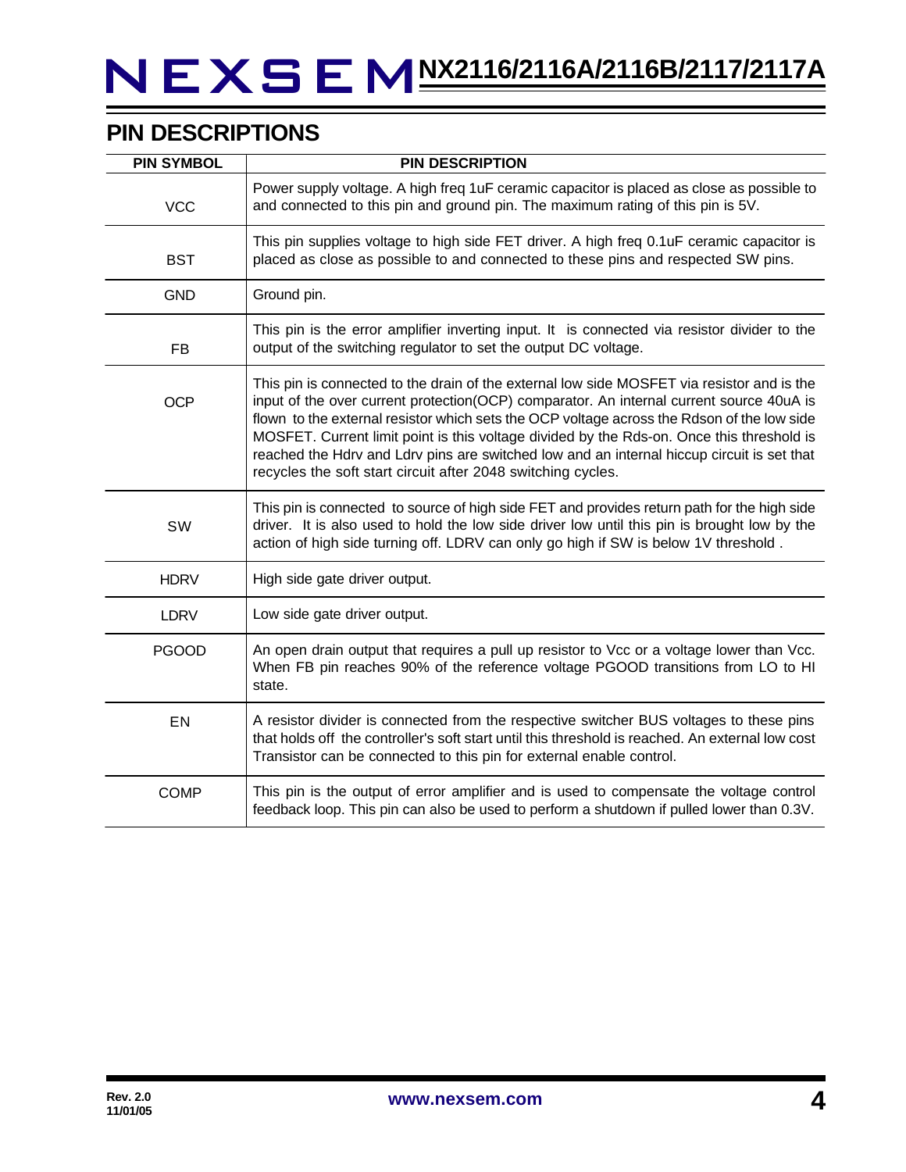## **PIN DESCRIPTIONS**

| <b>PIN SYMBOL</b> | <b>PIN DESCRIPTION</b>                                                                                                                                                                                                                                                                                                                                                                                                                                                                                                                          |
|-------------------|-------------------------------------------------------------------------------------------------------------------------------------------------------------------------------------------------------------------------------------------------------------------------------------------------------------------------------------------------------------------------------------------------------------------------------------------------------------------------------------------------------------------------------------------------|
| <b>VCC</b>        | Power supply voltage. A high freq 1uF ceramic capacitor is placed as close as possible to<br>and connected to this pin and ground pin. The maximum rating of this pin is 5V.                                                                                                                                                                                                                                                                                                                                                                    |
| <b>BST</b>        | This pin supplies voltage to high side FET driver. A high freq 0.1uF ceramic capacitor is<br>placed as close as possible to and connected to these pins and respected SW pins.                                                                                                                                                                                                                                                                                                                                                                  |
| <b>GND</b>        | Ground pin.                                                                                                                                                                                                                                                                                                                                                                                                                                                                                                                                     |
| <b>FB</b>         | This pin is the error amplifier inverting input. It is connected via resistor divider to the<br>output of the switching regulator to set the output DC voltage.                                                                                                                                                                                                                                                                                                                                                                                 |
| <b>OCP</b>        | This pin is connected to the drain of the external low side MOSFET via resistor and is the<br>input of the over current protection(OCP) comparator. An internal current source 40uA is<br>flown to the external resistor which sets the OCP voltage across the Rdson of the low side<br>MOSFET. Current limit point is this voltage divided by the Rds-on. Once this threshold is<br>reached the Hdrv and Ldrv pins are switched low and an internal hiccup circuit is set that<br>recycles the soft start circuit after 2048 switching cycles. |
| SW                | This pin is connected to source of high side FET and provides return path for the high side<br>driver. It is also used to hold the low side driver low until this pin is brought low by the<br>action of high side turning off. LDRV can only go high if SW is below 1V threshold.                                                                                                                                                                                                                                                              |
| <b>HDRV</b>       | High side gate driver output.                                                                                                                                                                                                                                                                                                                                                                                                                                                                                                                   |
| <b>LDRV</b>       | Low side gate driver output.                                                                                                                                                                                                                                                                                                                                                                                                                                                                                                                    |
| <b>PGOOD</b>      | An open drain output that requires a pull up resistor to Vcc or a voltage lower than Vcc.<br>When FB pin reaches 90% of the reference voltage PGOOD transitions from LO to HI<br>state.                                                                                                                                                                                                                                                                                                                                                         |
| EN                | A resistor divider is connected from the respective switcher BUS voltages to these pins<br>that holds off the controller's soft start until this threshold is reached. An external low cost<br>Transistor can be connected to this pin for external enable control.                                                                                                                                                                                                                                                                             |
| <b>COMP</b>       | This pin is the output of error amplifier and is used to compensate the voltage control<br>feedback loop. This pin can also be used to perform a shutdown if pulled lower than 0.3V.                                                                                                                                                                                                                                                                                                                                                            |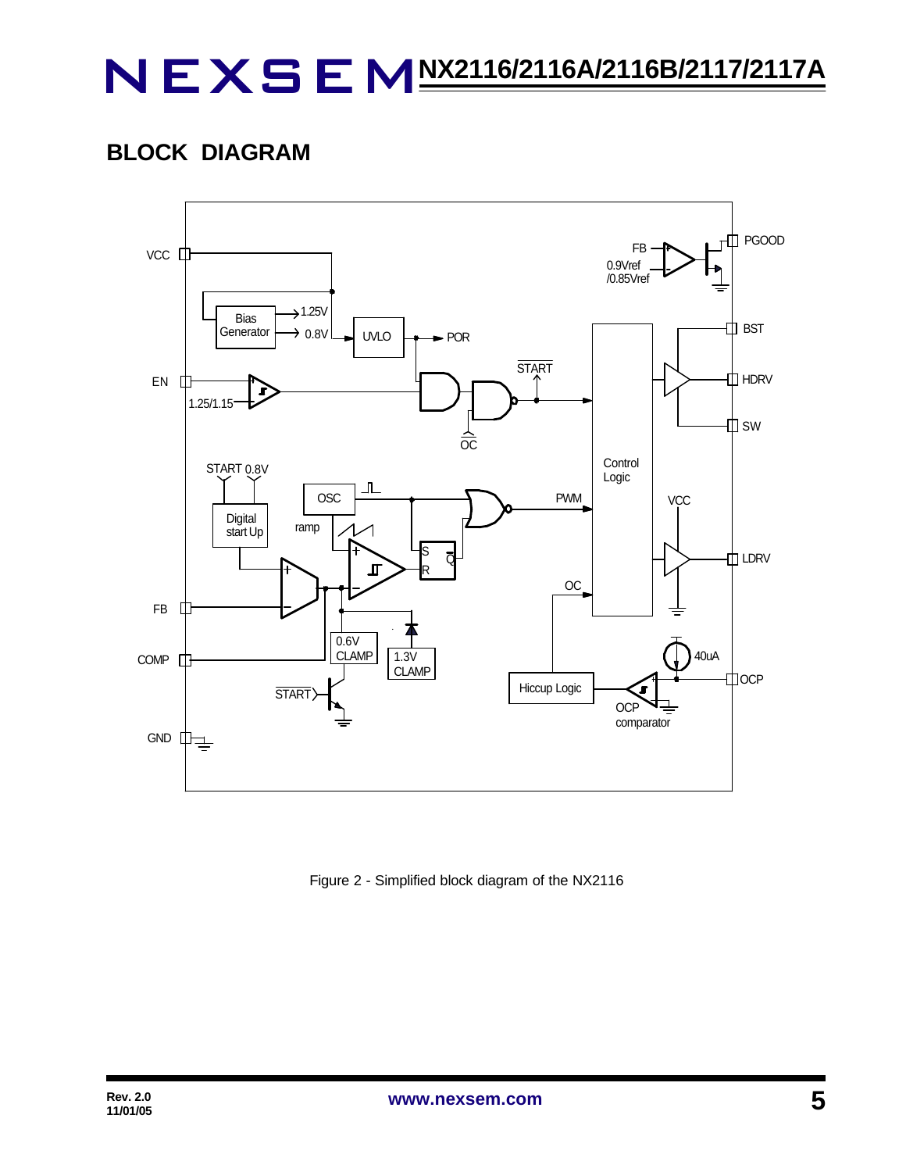## **BLOCK DIAGRAM**



Figure 2 - Simplified block diagram of the NX2116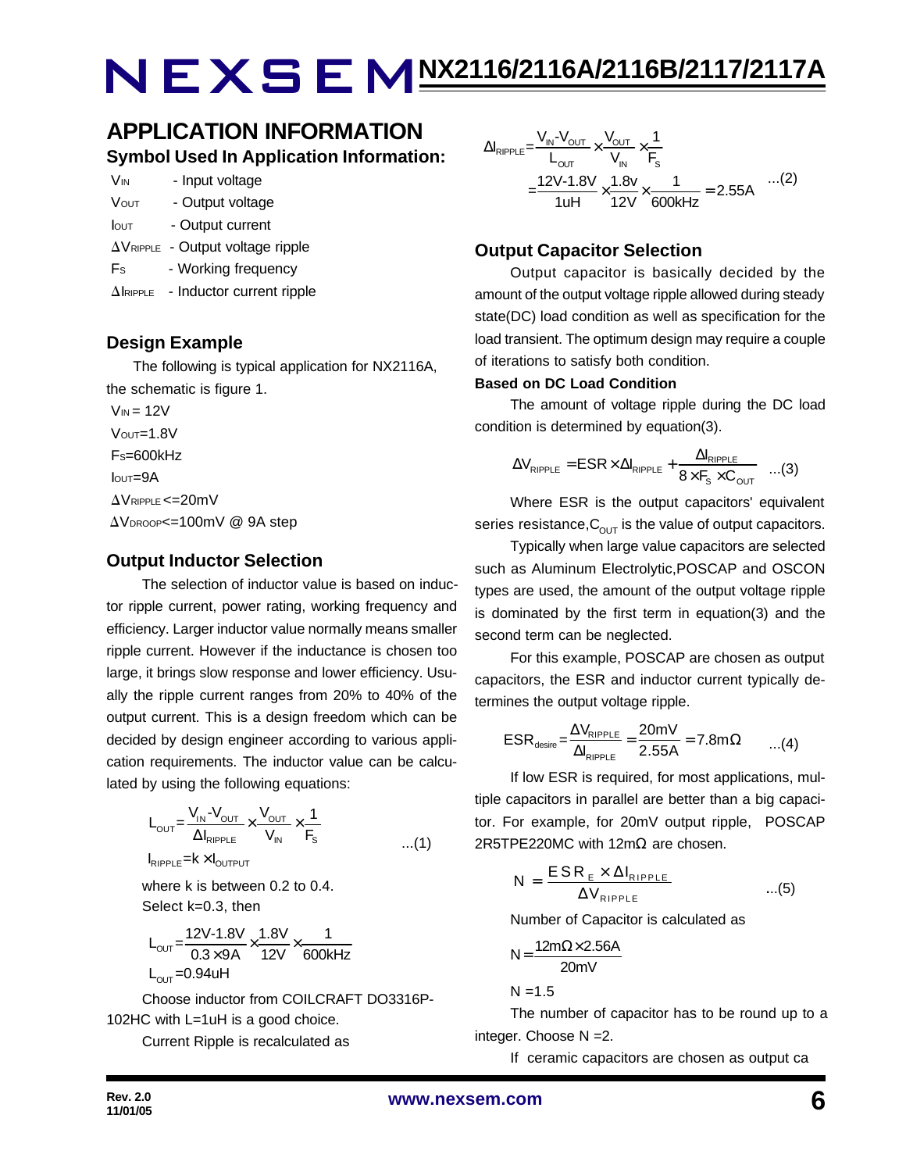## **APPLICATION INFORMATION Symbol Used In Application Information:**

| V <sub>IN</sub> | - Input voltage  |
|-----------------|------------------|
| <b>VOUT</b>     | - Output voltage |

- Iout Output current
- $\Delta V_{\text{RIPPLE}}$  Output voltage ripple
- Fs Working frequency
- $\Delta$ IRIPPLE Inductor current ripple

### **Design Example**

 The following is typical application for NX2116A, the schematic is figure 1.

 $V_{IN}$  = 12V  $V$ OUT= $1.8V$  FS=600kHz  $I$ <sub>OUT</sub>=9A  $\Delta V$ RIPPLE <= 20mV  $\Delta V_{\text{DROOP}} = 100$ mV @ 9A step

### **Output Inductor Selection**

The selection of inductor value is based on inductor ripple current, power rating, working frequency and efficiency. Larger inductor value normally means smaller ripple current. However if the inductance is chosen too large, it brings slow response and lower efficiency. Usually the ripple current ranges from 20% to 40% of the output current. This is a design freedom which can be decided by design engineer according to various application requirements. The inductor value can be calculated by using the following equations:

$$
L_{\text{OUT}} = \frac{V_{\text{IN}} - V_{\text{OUT}}}{\Delta I_{\text{RIPPLE}}} \times \frac{V_{\text{OUT}}}{V_{\text{IN}}} \times \frac{1}{F_s}
$$
  

$$
I_{\text{RIPPLE}} = k \times I_{\text{OUTPUT}}
$$

where k is between 0.2 to 0.4. Select k=0.3, then

$$
L_{\text{OUT}} = \frac{12V - 1.8V}{0.3 \times 9A} \times \frac{1.8V}{12V} \times \frac{1}{600kHz}
$$
  
L<sub>OUT</sub> = 0.94uH

Choose inductor from COILCRAFT DO3316P-102HC with L=1uH is a good choice.

Current Ripple is recalculated as

$$
\Delta I_{RIPPLE} = \frac{V_{IN} - V_{OUT}}{L_{OUT}} \times \frac{V_{OUT}}{V_{IN}} \times \frac{1}{F_s}
$$
  
= 
$$
\frac{12V - 1.8V}{1uH} \times \frac{1.8v}{12V} \times \frac{1}{600kHz} = 2.55A
$$
...(2)

### **Output Capacitor Selection**

Output capacitor is basically decided by the amount of the output voltage ripple allowed during steady state(DC) load condition as well as specification for the load transient. The optimum design may require a couple of iterations to satisfy both condition.

#### **Based on DC Load Condition**

The amount of voltage ripple during the DC load condition is determined by equation(3).

$$
\Delta V_{\text{RIPPLE}} = ESR \times \Delta I_{\text{RIPPLE}} + \frac{\Delta I_{\text{RIPPLE}}}{8 \times F_s \times C_{\text{OUT}}} \quad ...(3)
$$

Where ESR is the output capacitors' equivalent series resistance,  $C_{\text{OUT}}$  is the value of output capacitors.

Typically when large value capacitors are selected such as Aluminum Electrolytic,POSCAP and OSCON types are used, the amount of the output voltage ripple is dominated by the first term in equation(3) and the second term can be neglected.

For this example, POSCAP are chosen as output capacitors, the ESR and inductor current typically determines the output voltage ripple.

$$
ESR_{\text{desire}} = \frac{\Delta V_{\text{RIPPLE}}}{\Delta I_{\text{RIPPLE}}} = \frac{20 \text{mV}}{2.55 \text{A}} = 7.8 \text{m}\Omega \qquad ...(4)
$$

If low ESR is required, for most applications, multiple capacitors in parallel are better than a big capacitor. For example, for 20mV output ripple, POSCAP 2R5TPE220MC with 12mΩ are chosen.

$$
N = \frac{ESR_{E} \times \Delta I_{RIPPLE}}{\Delta V_{RIPPLE}} \qquad ...(5)
$$

Number of Capacitor is calculated as

$$
N = \frac{12m\Omega \times 2.56A}{20mV}
$$

 $N = 1.5$ 

The number of capacitor has to be round up to a integer. Choose N =2.

If ceramic capacitors are chosen as output ca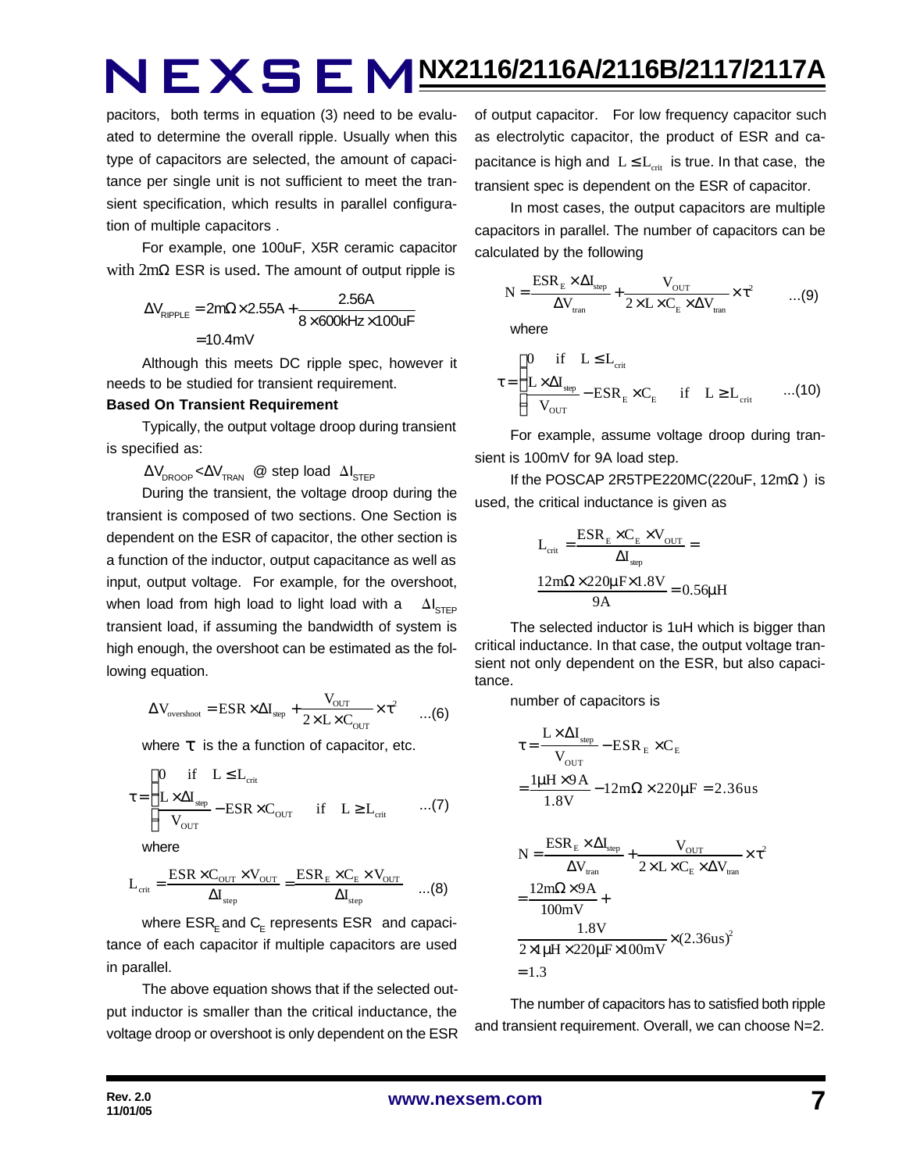pacitors, both terms in equation (3) need to be evaluated to determine the overall ripple. Usually when this type of capacitors are selected, the amount of capacitance per single unit is not sufficient to meet the transient specification, which results in parallel configuration of multiple capacitors .

For example, one 100uF, X5R ceramic capacitor with 2mΩ ESR is used. The amount of output ripple is

$$
\Delta V_{\text{RIPPLE}} = 2m\Omega \times 2.55A + \frac{2.56A}{8 \times 600kHz \times 100uF}
$$

$$
= 10.4mV
$$

Although this meets DC ripple spec, however it needs to be studied for transient requirement.

#### **Based On Transient Requirement**

Typically, the output voltage droop during transient is specified as:

 $\Delta V_{\text{DROOP}} \ll \Delta V_{\text{TRAN}}$  @ step load  $\Delta I_{\text{STEP}}$ 

During the transient, the voltage droop during the transient is composed of two sections. One Section is dependent on the ESR of capacitor, the other section is a function of the inductor, output capacitance as well as input, output voltage. For example, for the overshoot, when load from high load to light load with a  $\Delta I_{\text{cr}}$ transient load, if assuming the bandwidth of system is high enough, the overshoot can be estimated as the following equation.

$$
\Delta V_{\text{overshoot}} = ESR \times \Delta I_{\text{step}} + \frac{V_{\text{OUT}}}{2 \times L \times C_{\text{OUT}}} \times \tau^2 \qquad ... (6)
$$

where *t* is the a function of capacitor, etc.

$$
\tau = \begin{cases}\n0 & \text{if} \quad L \leq L_{\text{crit}} \\
\frac{L \times \Delta I_{\text{sep}}}{V_{\text{OUT}}} - \text{ESR} \times C_{\text{OUT}} & \text{if} \quad L \geq L_{\text{crit}} \quad \text{...(7)}\n\end{cases}
$$

where

$$
L_{\rm crit} = \frac{\rm ESR \times C_{\rm OUT} \times V_{\rm OUT}}{\Delta I_{\rm step}} = \frac{\rm ESR_E \times C_E \times V_{\rm OUT}}{\Delta I_{\rm step}} \quad ...(8)
$$

where  $\mathsf{ESR}_\mathsf{E}$  and  $\mathsf{C}_\mathsf{E}$  represents  $\mathsf{ESR}\;$  and capacitance of each capacitor if multiple capacitors are used in parallel.

The above equation shows that if the selected output inductor is smaller than the critical inductance, the voltage droop or overshoot is only dependent on the ESR of output capacitor. For low frequency capacitor such as electrolytic capacitor, the product of ESR and capacitance is high and  $L \le L_{crit}$  is true. In that case, the transient spec is dependent on the ESR of capacitor.

In most cases, the output capacitors are multiple capacitors in parallel. The number of capacitors can be calculated by the following

$$
N = \frac{ESR_{E} \times \Delta I_{step}}{\Delta V_{tran}} + \frac{V_{OUT}}{2 \times L \times C_{E} \times \Delta V_{tran}} \times \tau^{2}
$$
 ...(9)

where

$$
\tau = \begin{cases}\n0 & \text{if} \quad L \leq L_{\text{crit}} \\
\frac{L \times \Delta I_{\text{step}}}{V_{\text{OUT}}} - \text{ESR}_{E} \times C_{E} & \text{if} \quad L \geq L_{\text{crit}} \quad \dots (10)\n\end{cases}
$$

For example, assume voltage droop during transient is 100mV for 9A load step.

If the POSCAP 2R5TPE220MC(220uF,  $12m\Omega$ ) is used, the critical inductance is given as

$$
L_{crit} = \frac{ESR_{E} \times C_{E} \times V_{OUT}}{\Delta I_{step}} =
$$

$$
\frac{12m\Omega \times 220 \mu F \times 1.8 V}{9A} = 0.56 \mu H
$$

The selected inductor is 1uH which is bigger than critical inductance. In that case, the output voltage transient not only dependent on the ESR, but also capacitance.

number of capacitors is

$$
\tau = \frac{L \times \Delta I_{\text{step}}}{V_{\text{OUT}}} - ESR_{E} \times C_{E}
$$

$$
= \frac{l\mu H \times 9A}{1.8V} - 12m\Omega \times 220\mu F = 2.36us
$$

$$
N = \frac{ESR_E \times \Delta I_{\text{step}}}{\Delta V_{\text{tran}}} + \frac{V_{\text{OUT}}}{2 \times L \times C_E \times \Delta V_{\text{tran}}} \times \tau^2
$$

$$
= \frac{12 \text{m}\Omega \times 9 \text{A}}{100 \text{mV}} +
$$

$$
\frac{1.8 \text{V}}{2 \times 1 \mu \text{H} \times 220 \mu \text{F} \times 100 \text{mV}} \times (2.36 \text{us})^2
$$

$$
= 1.3
$$

The number of capacitors has to satisfied both ripple and transient requirement. Overall, we can choose N=2.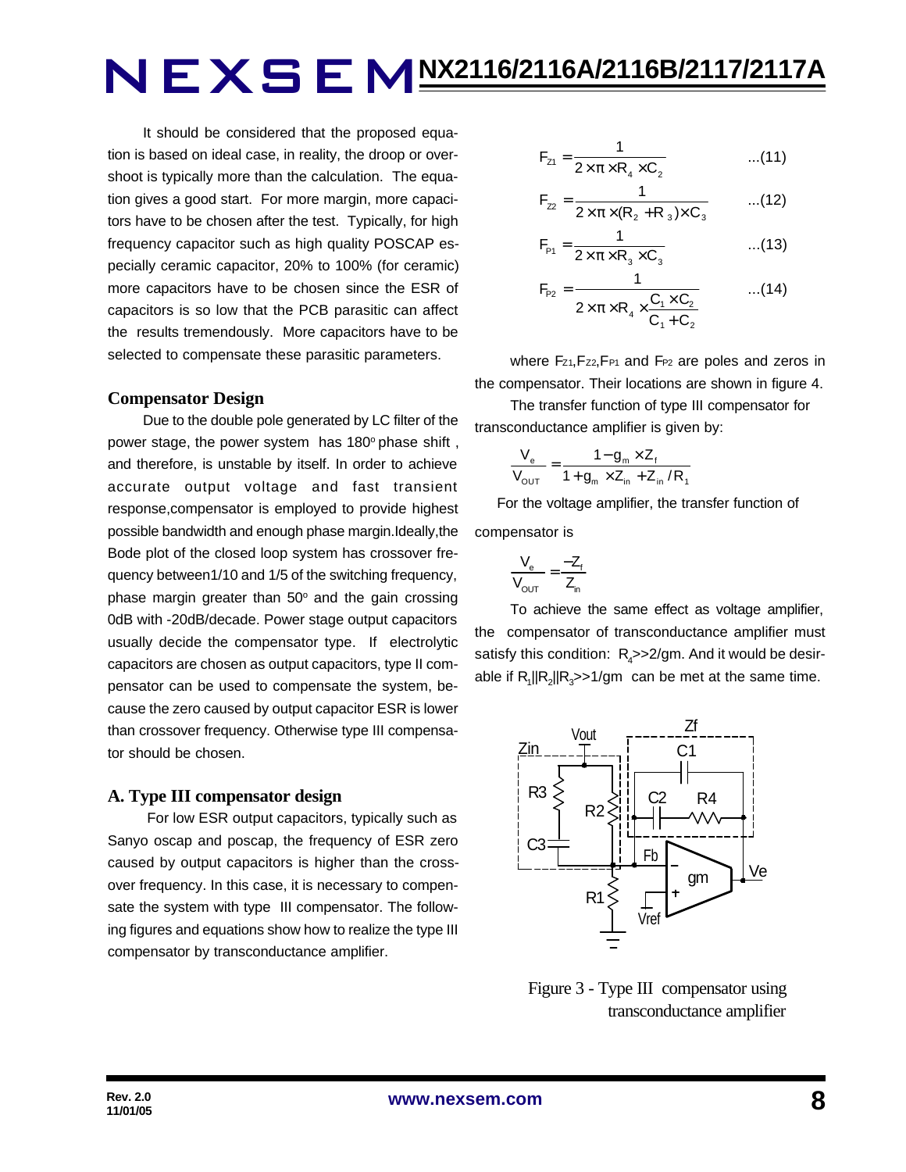It should be considered that the proposed equation is based on ideal case, in reality, the droop or overshoot is typically more than the calculation. The equation gives a good start. For more margin, more capacitors have to be chosen after the test. Typically, for high frequency capacitor such as high quality POSCAP especially ceramic capacitor, 20% to 100% (for ceramic) more capacitors have to be chosen since the ESR of capacitors is so low that the PCB parasitic can affect the results tremendously. More capacitors have to be selected to compensate these parasitic parameters.

#### **Compensator Design**

Due to the double pole generated by LC filter of the power stage, the power system has 180° phase shift, and therefore, is unstable by itself. In order to achieve accurate output voltage and fast transient response,compensator is employed to provide highest possible bandwidth and enough phase margin.Ideally,the Bode plot of the closed loop system has crossover frequency between1/10 and 1/5 of the switching frequency, phase margin greater than  $50^{\circ}$  and the gain crossing 0dB with -20dB/decade. Power stage output capacitors usually decide the compensator type. If electrolytic capacitors are chosen as output capacitors, type II compensator can be used to compensate the system, because the zero caused by output capacitor ESR is lower than crossover frequency. Otherwise type III compensator should be chosen.

#### **A. Type III compensator design**

 For low ESR output capacitors, typically such as Sanyo oscap and poscap, the frequency of ESR zero caused by output capacitors is higher than the crossover frequency. In this case, it is necessary to compensate the system with type III compensator. The following figures and equations show how to realize the type III compensator by transconductance amplifier.

$$
F_{z1} = \frac{1}{2 \times \pi \times R_4 \times C_2}
$$
...(11)

$$
F_{22} = \frac{1}{2 \times \pi \times (R_2 + R_3) \times C_3}
$$
...(12)

$$
F_{P1} = \frac{1}{2 \times \pi \times R_3 \times C_3}
$$
...(13)

$$
F_{P2} = \frac{1}{2 \times \pi \times R_4 \times \frac{C_1 \times C_2}{C_1 + C_2}}
$$
...(14)

where Fz<sub>1</sub>, Fz<sub>2</sub>, F<sub>P1</sub> and F<sub>P2</sub> are poles and zeros in the compensator. Their locations are shown in figure 4.

The transfer function of type III compensator for transconductance amplifier is given by:

$$
\frac{V_{e}}{V_{\text{OUT}}} = \frac{1 - g_{m} \times Z_{f}}{1 + g_{m} \times Z_{in} + Z_{in} / R_{f}}
$$

 For the voltage amplifier, the transfer function of compensator is

$$
\frac{V_e}{V_{OUT}} = \frac{-Z_f}{Z_{in}}
$$

To achieve the same effect as voltage amplifier, the compensator of transconductance amplifier must satisfy this condition:  $R_{\mathcal{A}}$ >>2/gm. And it would be desirable if  $R_1$ || $R_2$ || $R_3$ >>1/gm can be met at the same time.



 Figure 3 - Type III compensator using transconductance amplifier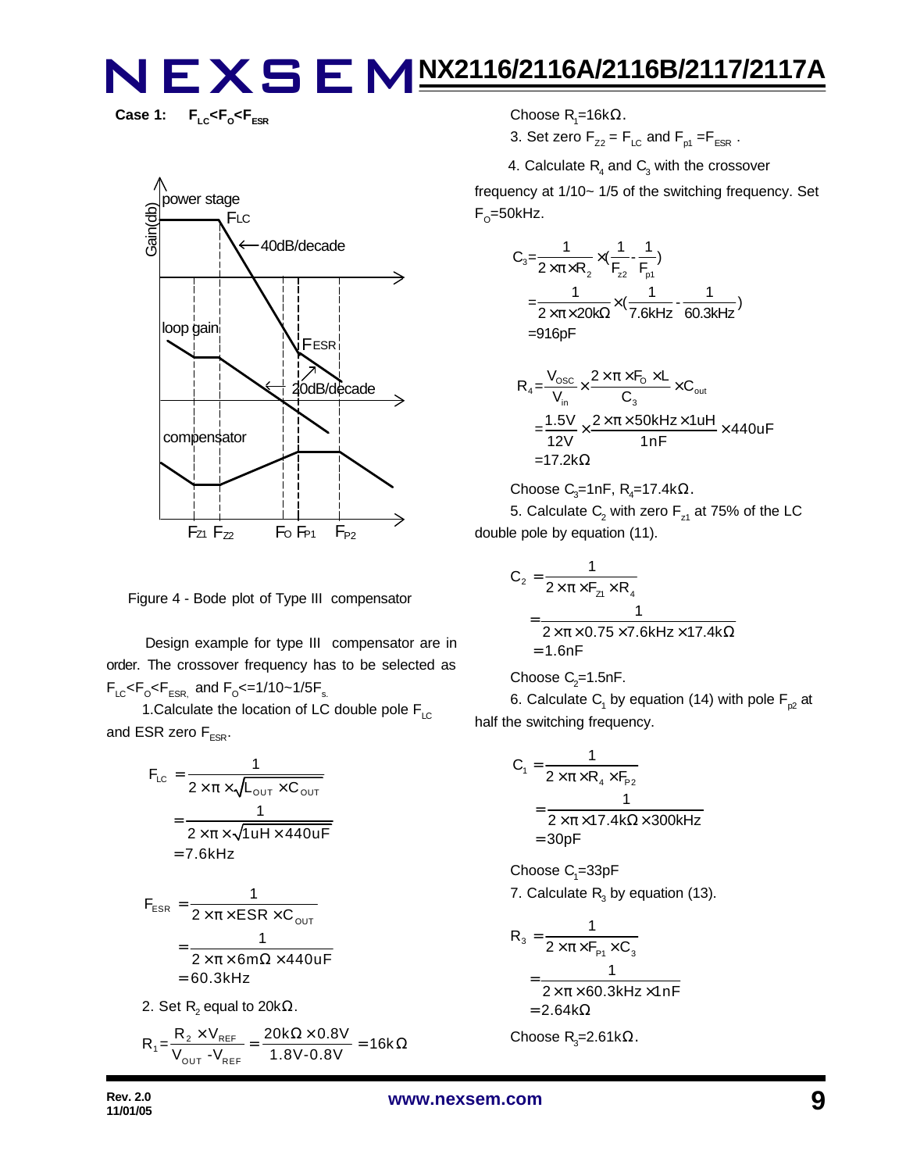**Case 1:**  $F_{LC}$ < $F_{O}$ < $F_{ESR}$ 



Figure 4 - Bode plot of Type III compensator

 Design example for type III compensator are in order. The crossover frequency has to be selected as  $F_{LC}$ < $F_{\rm o}$ < $F_{ESR,}$  and  $F_{\rm o}$ <=1/10~1/5 $F_{\rm s.}$ 

1. Calculate the location of LC double pole  $F_{\text{LC}}$ and ESR zero  $F_{ESR}$ .

$$
F_{LC} = \frac{1}{2 \times \pi \times \sqrt{L_{OUT} \times C_{OUT}}}
$$

$$
= \frac{1}{2 \times \pi \times \sqrt{1 uH \times 440 uF}}
$$

$$
= 7.6kHz
$$

$$
F_{ESR} = \frac{1}{2 \times \pi \times ESR \times C_{OUT}}
$$

$$
= \frac{1}{2 \times \pi \times 6m\Omega \times 440uF}
$$

$$
= 60.3kHz
$$

2. Set  $\mathsf{R}_{\mathsf{2}}$  equal to 20k $\Omega.$ 

$$
R_1 = \frac{R_2 \times V_{REF}}{V_{OUT} - V_{REF}} = \frac{20k\Omega \times 0.8V}{1.8V - 0.8V} = 16k\Omega
$$

Choose R<sub>1</sub>=16kΩ.

3. Set zero  $F_{Z2} = F_{LC}$  and  $F_{p1} = F_{ESR}$ .

4. Calculate  $R_4$  and  $C_3$  with the crossover

frequency at 1/10~ 1/5 of the switching frequency. Set F<sub>o</sub>=50kHz.

$$
C_3 = \frac{1}{2 \times \pi \times R_2} \times (\frac{1}{F_{z2}} - \frac{1}{F_{p1}})
$$
  
=  $\frac{1}{2 \times \pi \times 20k\Omega} \times (\frac{1}{7.6kHz} - \frac{1}{60.3kHz})$   
= 916pF

$$
R_{4} = \frac{V_{\text{osc}}}{V_{\text{in}}} \times \frac{2 \times \pi \times F_{\text{O}} \times L}{C_{3}} \times C_{\text{out}}
$$
  
= 
$$
\frac{1.5V}{12V} \times \frac{2 \times \pi \times 50kHz \times 1uH}{1nF} \times 440uF
$$
  
= 17.2k $\Omega$ 

Choose C<sub>3</sub>=1nF, R<sub>4</sub>=17.4k
$$
\Omega
$$
.

5. Calculate  $\mathsf{C}_2$  with zero  $\mathsf{F}_{\mathsf{z}1}$  at 75% of the LC double pole by equation (11).

$$
C_2 = \frac{1}{2 \times \pi \times F_{z1} \times R_4}
$$
  
= 
$$
\frac{1}{2 \times \pi \times 0.75 \times 7.6 \text{kHz} \times 17.4 \text{k}\Omega}
$$
  
= 1.6nF

Choose 
$$
C_2=1.5nF
$$
.

6. Calculate  $\mathsf{C}_\mathsf{1}$  by equation (14) with pole  $\mathsf{F}_{\mathsf{p2}}$  at half the switching frequency.

$$
C_1 = \frac{1}{2 \times \pi \times R_4 \times F_{p_2}}
$$
  
= 
$$
\frac{1}{2 \times \pi \times 17.4 k\Omega \times 300 kHz}
$$
  
= 30pF

 $\rm Choose$   $\rm C_{\rm 1}$ =33pF 7. Calculate  $R_3$  by equation (13).

$$
R_3 = \frac{1}{2 \times \pi \times F_{P1} \times C_3}
$$
  
= 
$$
\frac{1}{2 \times \pi \times 60.3 \text{kHz} \times 1 \text{nF}}
$$
  
= 2.64k $\Omega$ 

Choose R<sub>3</sub>=2.61kΩ.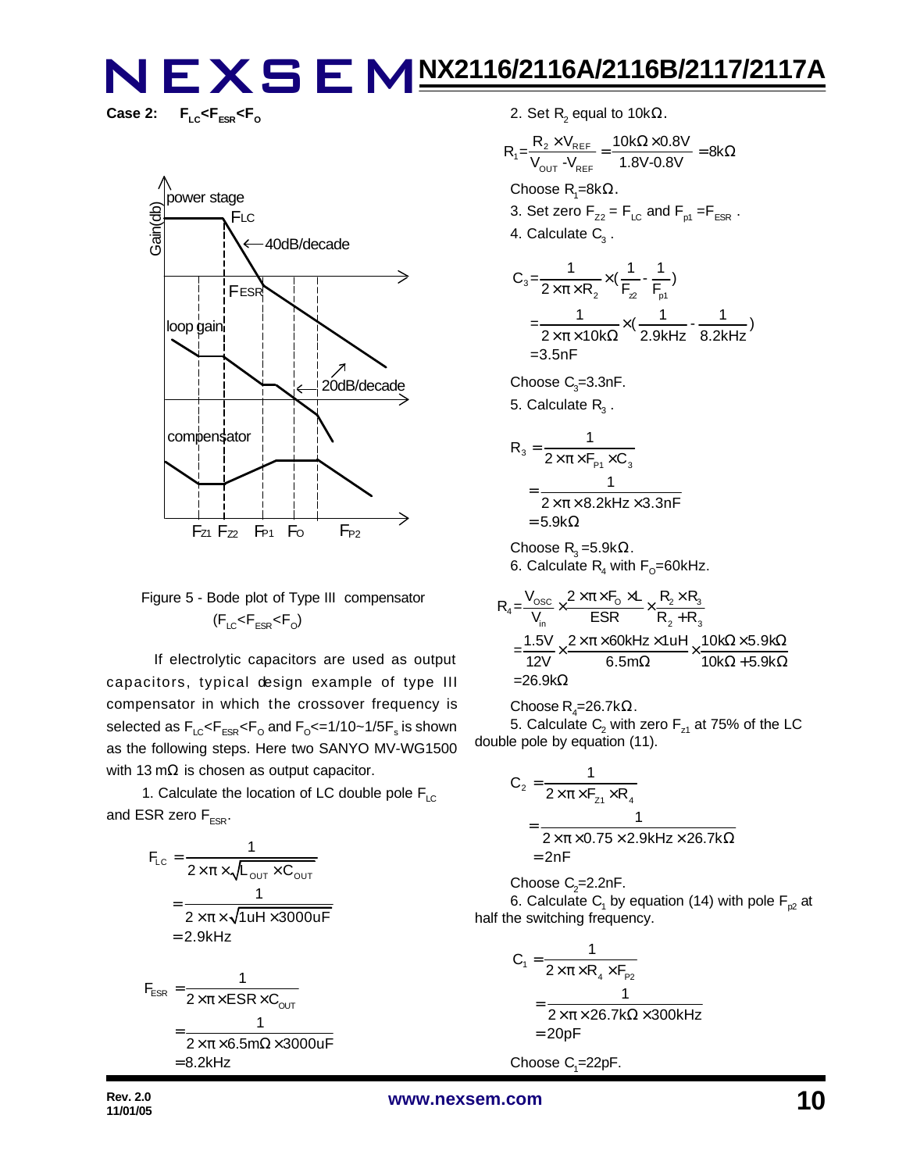Case 2:  $F_{\text{LC}}$ < $F_{\text{ESR}}$ < $F_{\text{O}}$ 



### Figure 5 - Bode plot of Type III compensator  $(F_{LC}$ < $F_{ESR}$ < $F_{O}$ )

 If electrolytic capacitors are used as output capacitors, typical design example of type III compensator in which the crossover frequency is selected as  $\mathsf{F}_{\text{\tiny{LC}}} \!\!\mathopen{\leq} \!\mathsf{F}_{\text{\tiny{ESR}}} \!\!\mathopen{\leq} \!\mathsf{F}_{\text{\tiny{O}}}$  and  $\mathsf{F}_{\text{\tiny{O}}} \!\!\mathopen{\leq} \!=\! 1/10 \!\!\mathclose{\sim} \!1/\!5 \mathsf{F}_{\text{\tiny{S}}}$  is shown as the following steps. Here two SANYO MV-WG1500 with 13 m $\Omega$  is chosen as output capacitor.

1. Calculate the location of LC double pole  $F_{LC}$ and ESR zero  $F_{FSR}$ .

$$
F_{LC} = \frac{1}{2 \times \pi \times \sqrt{L_{OUT} \times C_{OUT}}}
$$
  
= 
$$
\frac{1}{2 \times \pi \times \sqrt{1 u H \times 3000 u F}}
$$
  
= 2.9kHz  

$$
F_{ESR} = \frac{1}{2 \times \pi \times ESR \times C_{OUT}}
$$
  
= 
$$
\frac{1}{2 \times \pi \times 6.5 m \Omega \times 3000 u F}
$$
  
= 8.2kHz

2. Set  $\mathsf{R}_{\mathsf{2}}$  equal to 10k $\Omega$ .

$$
R_1 = \frac{R_2 \times V_{REF}}{V_{OUT}} = \frac{10k\Omega \times 0.8V}{1.8V - 0.8V} = 8k\Omega
$$
  
Choose R<sub>1</sub>=8k $\Omega$ .

3. Set zero  $F_{Z2} = F_{LC}$  and  $F_{p1} = F_{ESR}$ . 4. Calculate  $\textsf{C}_\textsf{3}$  .

$$
C_3 = \frac{1}{2 \times \pi \times R_2} \times (\frac{1}{F_2} - \frac{1}{F_{p1}})
$$
  
=  $\frac{1}{2 \times \pi \times 10k\Omega} \times (\frac{1}{2.9kHz} - \frac{1}{8.2kHz})$   
= 3.5nF

Choose  $C_{3}$ =3.3nF.

5. Calculate  $\mathsf{R}_{\mathsf{3}}$  .

$$
R_3 = \frac{1}{2 \times \pi \times F_{P1} \times C_3}
$$
  
= 
$$
\frac{1}{2 \times \pi \times 8.2 \text{kHz} \times 3.3 \text{nF}}
$$
  
= 5.9kΩ

Choose  $\mathsf{R}_{3}$ =5.9k $\Omega$ . 6. Calculate  $\mathsf{R}_{\mathsf{4}}$  with  $\mathsf{F}_{\mathsf{O}}\!\!=\!\!60$ kHz.

$$
R_4 = \frac{V_{\text{osc}}}{V_{\text{in}}} \times \frac{2 \times \pi \times F_0 \times L}{ESR} \times \frac{R_2 \times R_3}{R_2 + R_3}
$$
  
= 
$$
\frac{1.5V}{12V} \times \frac{2 \times \pi \times 60kHz \times 1uH}{6.5m\Omega} \times \frac{10k\Omega \times 5.9k\Omega}{10k\Omega + 5.9k\Omega}
$$
  
= 26.9k\Omega

Choose R<sub>4</sub>=26.7k $\Omega$ . 5. Calculate  $\mathsf{C}_2$  with zero  $\mathsf{F}_{\mathsf{z}1}$  at 75% of the LC double pole by equation (11).

$$
C_2 = \frac{1}{2 \times \pi \times F_{z1} \times R_4}
$$
  
= 
$$
\frac{1}{2 \times \pi \times 0.75 \times 2.9 \text{kHz} \times 26.7 \text{k}\Omega}
$$
  
= 2nF

Choose  $C_2$ =2.2nF. 6. Calculate  $\mathsf{C}_\mathsf{1}$  by equation (14) with pole  $\mathsf{F}_{\mathsf{p2}}$  at half the switching frequency.

$$
C_1 = \frac{1}{2 \times \pi \times R_4 \times F_{p_2}}
$$
  
= 
$$
\frac{1}{2 \times \pi \times 26.7 k\Omega \times 300kHz}
$$
  
= 20pF

Choose  $C_1 = 22pF$ .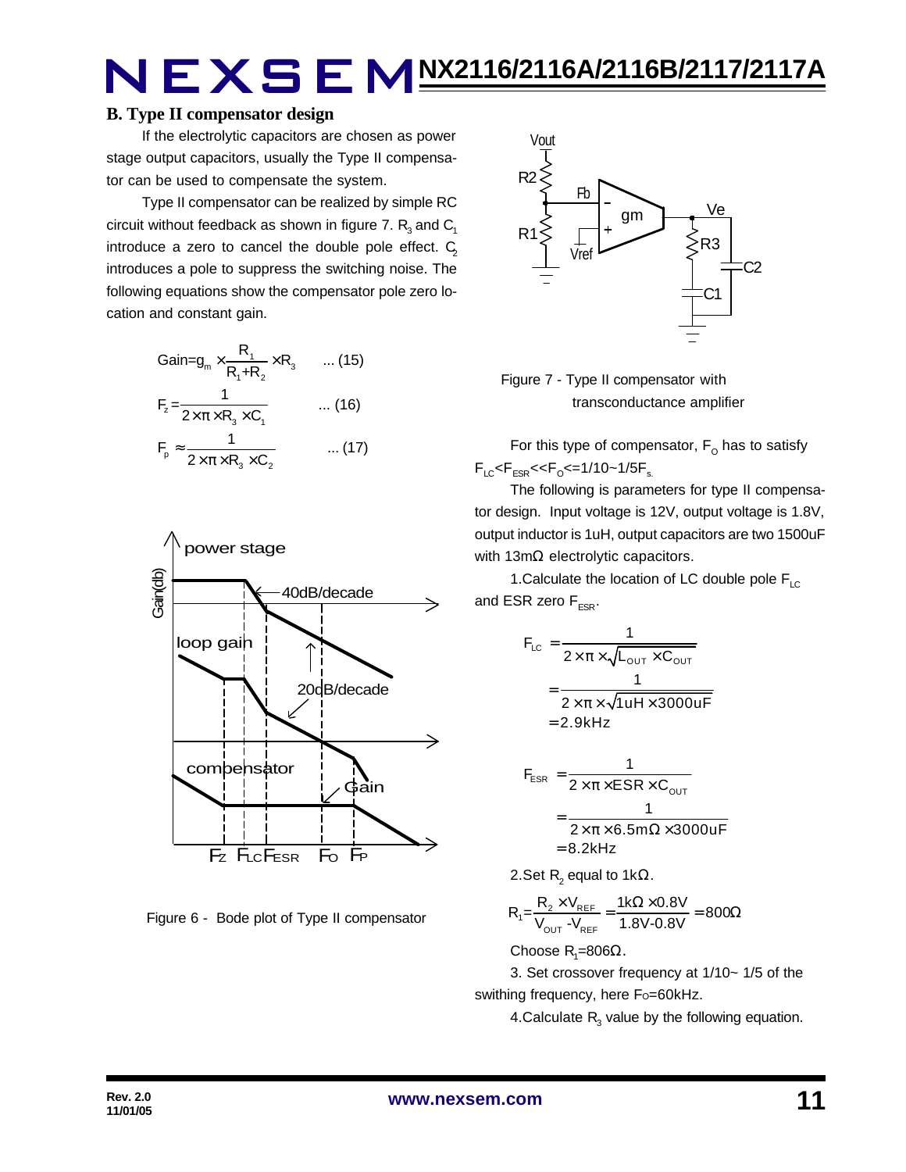### **B. Type II compensator design**

If the electrolytic capacitors are chosen as power stage output capacitors, usually the Type II compensator can be used to compensate the system.

Type II compensator can be realized by simple RC circuit without feedback as shown in figure 7.  $\mathsf{R}_{_{\mathrm{3}}}$  and  $\mathsf{C}_{_{\mathrm{1}}}$ introduce a zero to cancel the double pole effect.  $C_2$ introduces a pole to suppress the switching noise. The following equations show the compensator pole zero location and constant gain.

$$
Gain = g_m \times \frac{R_1}{R_1 + R_2} \times R_3 \qquad \dots (15)
$$
  
\n
$$
F_z = \frac{1}{2 \times \pi \times R_3 \times C_1} \qquad \dots (16)
$$
  
\n
$$
F_p \approx \frac{1}{2 \times \pi \times R_3 \times C_2} \qquad \dots (17)
$$



Figure 6 - Bode plot of Type II compensator



 Figure 7 - Type II compensator with transconductance amplifier

For this type of compensator,  $\mathsf{F}_\mathsf{O}$  has to satisfy  $F_{LC}$ < $F_{ESR}$ << $F_{O}$ <=1/10~1/5 $F_{s.}$ 

The following is parameters for type II compensator design. Input voltage is 12V, output voltage is 1.8V, output inductor is 1uH, output capacitors are two 1500uF with 13mΩ electrolytic capacitors.

1. Calculate the location of LC double pole  $F_{\text{LC}}$ and ESR zero  $F_{ESR}$ .

$$
F_{LC} = \frac{1}{2 \times \pi \times \sqrt{L_{OUT} \times C_{OUT}}}
$$

$$
= \frac{1}{2 \times \pi \times \sqrt{1 uH \times 3000 uF}}
$$

$$
= 2.9kHz
$$

$$
F_{ESR} = \frac{1}{2 \times \pi \times ESR \times C_{OUT}}
$$
  
= 
$$
\frac{1}{2 \times \pi \times 6.5 \text{m}\Omega \times 3000 \text{uF}}
$$
  
= 8.2kHz

2.Set R<sub>2</sub> equal to 1kΩ.

$$
R_{1} = \frac{R_{2} \times V_{REF}}{V_{OUT} - V_{REF}} = \frac{1 k \Omega \times 0.8 V}{1.8 V - 0.8 V} = 800 \Omega
$$

Choose R<sub>1</sub>=806Ω.

3. Set crossover frequency at 1/10~ 1/5 of the swithing frequency, here Fo=60kHz.

4.Calculate  $R_3$  value by the following equation.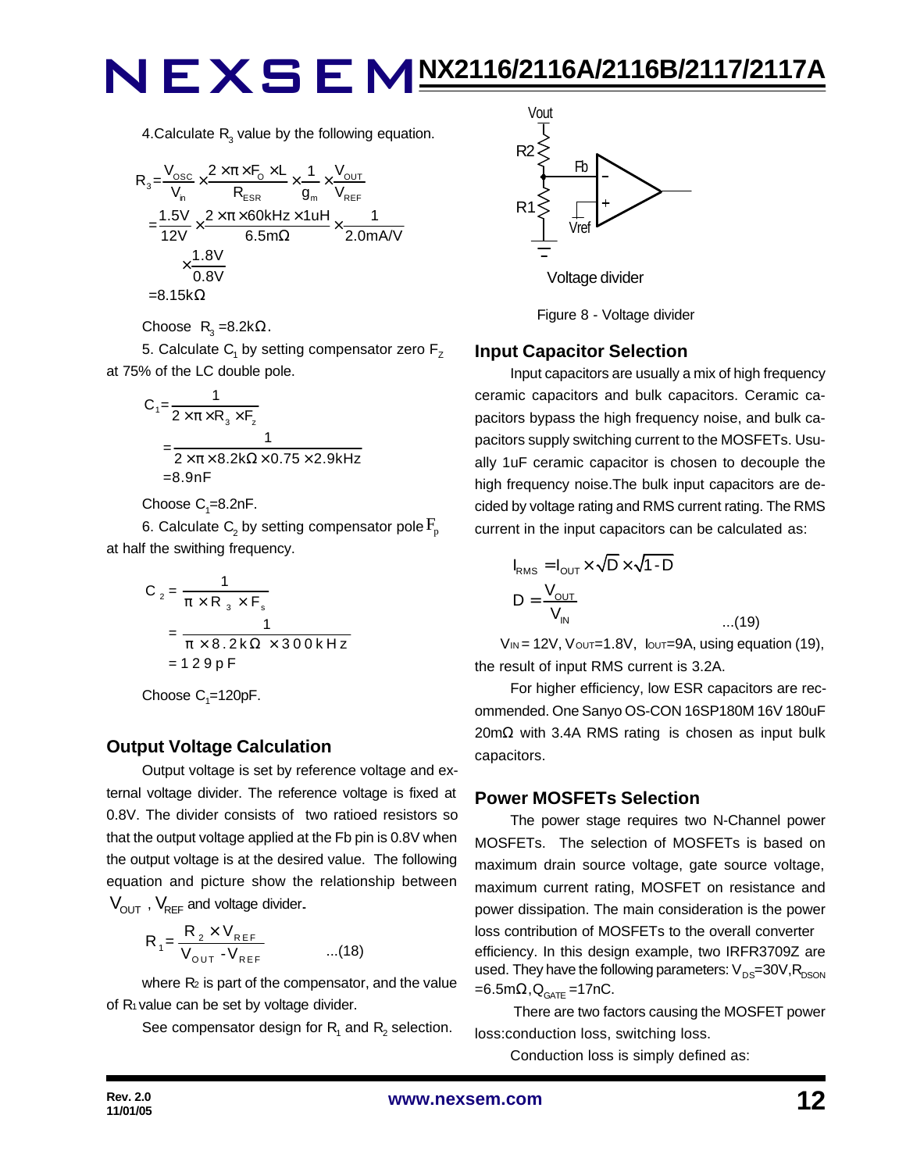4.Calculate  $R_3$  value by the following equation.

$$
R_{3} = \frac{V_{\text{osc}}}{V_{\text{n}}} \times \frac{2 \times \pi \times F_{\text{o}} \times L}{R_{\text{ESR}}} \times \frac{1}{g_{\text{m}}} \times \frac{V_{\text{OUT}}}{V_{\text{REF}}}
$$
\n
$$
= \frac{1.5V}{12V} \times \frac{2 \times \pi \times 60 \text{kHz} \times 1 \text{uH}}{6.5 \text{m}\Omega} \times \frac{1}{2.0 \text{mA/V}}
$$
\n
$$
\times \frac{1.8V}{0.8V}
$$
\n=8.15k $\Omega$ 

Choose  $R_3 = 8.2k\Omega$ .

5. Calculate  $\mathsf{C}_\mathsf{1}$  by setting compensator zero  $\mathsf{F}_\mathsf{Z}$ at 75% of the LC double pole.

$$
C_1 = \frac{1}{2 \times \pi \times R_3 \times F_2}
$$
  
= 
$$
\frac{1}{2 \times \pi \times 8.2 \times \Omega \times 0.75 \times 2.9 \times Hz}
$$
  
=8.9nF

Choose  $C_1 = 8.2$ nF.

6. Calculate  $\mathsf{C}_\text{2}$  by setting compensator pole  $\mathrm{F}_{\text{p}}$ at half the swithing frequency.

$$
C_2 = \frac{1}{\pi \times R_3 \times F_s}
$$
  
= 
$$
\frac{1}{\pi \times 8.2 \times 2 \times 300 \times Hz}
$$
  
= 129pF

Choose  $C_1 = 120pF$ .

### **Output Voltage Calculation**

Output voltage is set by reference voltage and external voltage divider. The reference voltage is fixed at 0.8V. The divider consists of two ratioed resistors so that the output voltage applied at the Fb pin is 0.8V when the output voltage is at the desired value. The following equation and picture show the relationship between  $V_{\text{OUT}}$ ,  $V_{\text{REF}}$  and voltage divider.

$$
R_{1} = \frac{R_{2} \times V_{REF}}{V_{OUT} - V_{REF}} \qquad ...(18)
$$

where  $R_2$  is part of the compensator, and the value of R<sub>1</sub> value can be set by voltage divider.

See compensator design for  $\mathsf{R}_{\mathsf{1}}$  and  $\mathsf{R}_{\mathsf{2}}$  selection.



Figure 8 - Voltage divider

### **Input Capacitor Selection**

Input capacitors are usually a mix of high frequency ceramic capacitors and bulk capacitors. Ceramic capacitors bypass the high frequency noise, and bulk capacitors supply switching current to the MOSFETs. Usually 1uF ceramic capacitor is chosen to decouple the high frequency noise.The bulk input capacitors are decided by voltage rating and RMS current rating. The RMS current in the input capacitors can be calculated as:

$$
I_{RMS} = I_{OUT} \times \sqrt{D} \times \sqrt{1 - D}
$$
  

$$
D = \frac{V_{OUT}}{V_{IN}}
$$
...(19)

 $V_{\text{IN}}$  = 12V,  $V_{\text{OUT}}$  = 1.8V,  $V_{\text{OUT}}$  = 9A, using equation (19), the result of input RMS current is 3.2A.

For higher efficiency, low ESR capacitors are recommended. One Sanyo OS-CON 16SP180M 16V 180uF 20mΩ with 3.4A RMS rating is chosen as input bulk capacitors.

### **Power MOSFETs Selection**

The power stage requires two N-Channel power MOSFETs. The selection of MOSFETs is based on maximum drain source voltage, gate source voltage, maximum current rating, MOSFET on resistance and power dissipation. The main consideration is the power loss contribution of MOSFETs to the overall converter efficiency. In this design example, two IRFR3709Z are used. They have the following parameters:  $V_{DS}=30V, R_{DSON}$  $=6.5$ m $\Omega$ , $Q_{GATE}$ =17nC.

 There are two factors causing the MOSFET power loss:conduction loss, switching loss.

Conduction loss is simply defined as: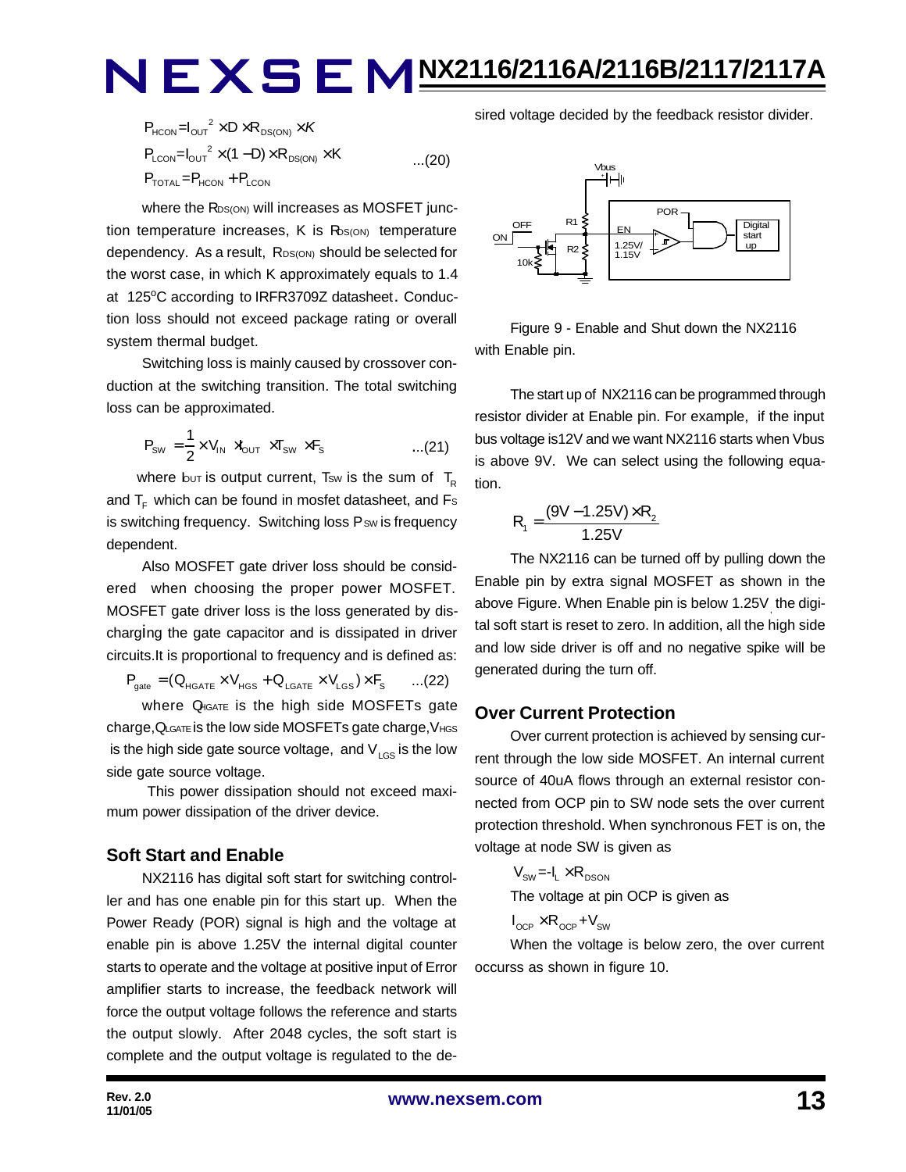$$
P_{HCON} = I_{OUT}^2 \times D \times R_{DS(ON)} \times K
$$
  
\n
$$
P_{LCDN} = I_{OUT}^2 \times (1 - D) \times R_{DS(ON)} \times K
$$
...(20)  
\n
$$
P_{TOTAL} = P_{HCON} + P_{LCDN}
$$

where the R<sub>DS(ON)</sub> will increases as MOSFET junction temperature increases,  $K$  is  $R_{\text{DS(ON)}}$  temperature dependency. As a result, RDS(ON) should be selected for the worst case, in which K approximately equals to 1.4 at 125°C according to IRFR3709Z datasheet. Conduction loss should not exceed package rating or overall system thermal budget.

Switching loss is mainly caused by crossover conduction at the switching transition. The total switching loss can be approximated.

$$
P_{\text{SW}} = \frac{1}{2} \times V_{\text{IN}} \times V_{\text{OUT}} \times T_{\text{SW}} \times F_{\text{s}}
$$
...(21)

where but is output current, Tsw is the sum of  $T_R$ and  $T_F$  which can be found in mosfet datasheet, and Fs is switching frequency. Switching loss Psw is frequency dependent.

Also MOSFET gate driver loss should be considered when choosing the proper power MOSFET. MOSFET gate driver loss is the loss generated by discharging the gate capacitor and is dissipated in driver circuits.It is proportional to frequency and is defined as:

 $P_{\text{gate}} = (Q_{\text{HGATE}} \times V_{\text{HGS}} + Q_{\text{LGATE}} \times V_{\text{LGS}}) \times F_{\text{S}}$  ...(22)

where Q<sub>IGATE</sub> is the high side MOSFETs gate charge, QLGATE is the low side MOSFETs gate charge, VHGS is the high side gate source voltage, and  $V_{LGS}$  is the low side gate source voltage.

 This power dissipation should not exceed maximum power dissipation of the driver device.

### **Soft Start and Enable**

NX2116 has digital soft start for switching controller and has one enable pin for this start up. When the Power Ready (POR) signal is high and the voltage at enable pin is above 1.25V the internal digital counter starts to operate and the voltage at positive input of Error amplifier starts to increase, the feedback network will force the output voltage follows the reference and starts the output slowly. After 2048 cycles, the soft start is complete and the output voltage is regulated to the desired voltage decided by the feedback resistor divider.



Figure 9 - Enable and Shut down the NX2116 with Enable pin.

The start up of NX2116 can be programmed through resistor divider at Enable pin. For example, if the input bus voltage is12V and we want NX2116 starts when Vbus is above 9V. We can select using the following equation.

$$
R_1 = \frac{(9V - 1.25V) \times R_2}{1.25V}
$$

The NX2116 can be turned off by pulling down the Enable pin by extra signal MOSFET as shown in the above Figure. When Enable pin is below 1.25V<sub>,</sub> the digital soft start is reset to zero. In addition, all the high side and low side driver is off and no negative spike will be generated during the turn off.

### **Over Current Protection**

Over current protection is achieved by sensing current through the low side MOSFET. An internal current source of 40uA flows through an external resistor connected from OCP pin to SW node sets the over current protection threshold. When synchronous FET is on, the voltage at node SW is given as

$$
V_{\text{SW}} = -I_{L} \times R_{\text{DSON}}
$$
\nThe voltage at pin OCP is given as

$$
I_{\text{OCP}} \times R_{\text{OCP}} + V_{\text{SW}}
$$

When the voltage is below zero, the over current occurss as shown in figure 10.